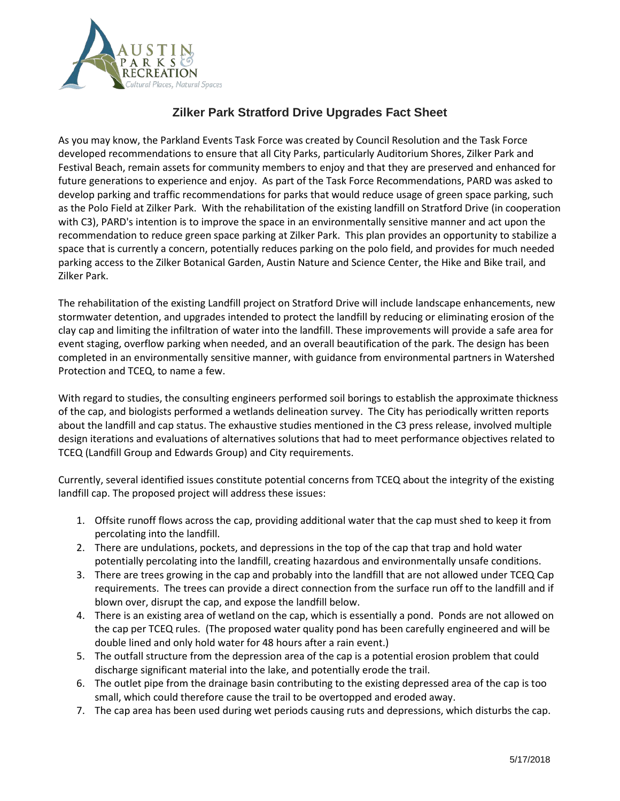

## **Zilker Park Stratford Drive Upgrades Fact Sheet**

As you may know, the Parkland Events Task Force was created by Council Resolution and the Task Force developed recommendations to ensure that all City Parks, particularly Auditorium Shores, Zilker Park and Festival Beach, remain assets for community members to enjoy and that they are preserved and enhanced for future generations to experience and enjoy. As part of the Task Force Recommendations, PARD was asked to develop parking and traffic recommendations for parks that would reduce usage of green space parking, such as the Polo Field at Zilker Park. With the rehabilitation of the existing landfill on Stratford Drive (in cooperation with C3), PARD's intention is to improve the space in an environmentally sensitive manner and act upon the recommendation to reduce green space parking at Zilker Park. This plan provides an opportunity to stabilize a space that is currently a concern, potentially reduces parking on the polo field, and provides for much needed parking access to the Zilker Botanical Garden, Austin Nature and Science Center, the Hike and Bike trail, and Zilker Park.

The rehabilitation of the existing Landfill project on Stratford Drive will include landscape enhancements, new stormwater detention, and upgrades intended to protect the landfill by reducing or eliminating erosion of the clay cap and limiting the infiltration of water into the landfill. These improvements will provide a safe area for event staging, overflow parking when needed, and an overall beautification of the park. The design has been completed in an environmentally sensitive manner, with guidance from environmental partners in Watershed Protection and TCEQ, to name a few.

With regard to studies, the consulting engineers performed soil borings to establish the approximate thickness of the cap, and biologists performed a wetlands delineation survey. The City has periodically written reports about the landfill and cap status. The exhaustive studies mentioned in the C3 press release, involved multiple design iterations and evaluations of alternatives solutions that had to meet performance objectives related to TCEQ (Landfill Group and Edwards Group) and City requirements.

Currently, several identified issues constitute potential concerns from TCEQ about the integrity of the existing landfill cap. The proposed project will address these issues:

- 1. Offsite runoff flows across the cap, providing additional water that the cap must shed to keep it from percolating into the landfill.
- 2. There are undulations, pockets, and depressions in the top of the cap that trap and hold water potentially percolating into the landfill, creating hazardous and environmentally unsafe conditions.
- 3. There are trees growing in the cap and probably into the landfill that are not allowed under TCEQ Cap requirements. The trees can provide a direct connection from the surface run off to the landfill and if blown over, disrupt the cap, and expose the landfill below.
- 4. There is an existing area of wetland on the cap, which is essentially a pond. Ponds are not allowed on the cap per TCEQ rules. (The proposed water quality pond has been carefully engineered and will be double lined and only hold water for 48 hours after a rain event.)
- 5. The outfall structure from the depression area of the cap is a potential erosion problem that could discharge significant material into the lake, and potentially erode the trail.
- 6. The outlet pipe from the drainage basin contributing to the existing depressed area of the cap is too small, which could therefore cause the trail to be overtopped and eroded away.
- 7. The cap area has been used during wet periods causing ruts and depressions, which disturbs the cap.